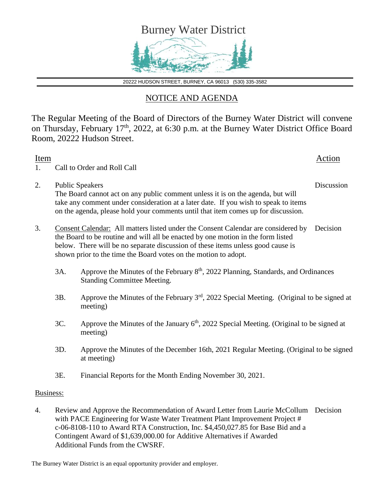

20222 HUDSON STREET, BURNEY, CA 96013 (530) 335-3582

## NOTICE AND AGENDA

The Regular Meeting of the Board of Directors of the Burney Water District will convene on Thursday, February 17<sup>th</sup>, 2022, at 6:30 p.m. at the Burney Water District Office Board Room, 20222 Hudson Street.

| Item<br>1. |                                                                                                                                                                                                                                                                                                                             | Call to Order and Roll Call                                                                                                          | Action |
|------------|-----------------------------------------------------------------------------------------------------------------------------------------------------------------------------------------------------------------------------------------------------------------------------------------------------------------------------|--------------------------------------------------------------------------------------------------------------------------------------|--------|
| 2.         | Discussion<br><b>Public Speakers</b><br>The Board cannot act on any public comment unless it is on the agenda, but will<br>take any comment under consideration at a later date. If you wish to speak to items<br>on the agenda, please hold your comments until that item comes up for discussion.                         |                                                                                                                                      |        |
| 3.         | Consent Calendar: All matters listed under the Consent Calendar are considered by<br>the Board to be routine and will all be enacted by one motion in the form listed<br>below. There will be no separate discussion of these items unless good cause is<br>shown prior to the time the Board votes on the motion to adopt. | Decision                                                                                                                             |        |
|            | 3A.                                                                                                                                                                                                                                                                                                                         | Approve the Minutes of the February 8 <sup>th</sup> , 2022 Planning, Standards, and Ordinances<br><b>Standing Committee Meeting.</b> |        |
|            | 3B.                                                                                                                                                                                                                                                                                                                         | Approve the Minutes of the February 3 <sup>rd</sup> , 2022 Special Meeting. (Original to be signed at<br>meeting)                    |        |
|            | 3C.                                                                                                                                                                                                                                                                                                                         | Approve the Minutes of the January $6th$ , 2022 Special Meeting. (Original to be signed at<br>meeting)                               |        |
|            | 3D.                                                                                                                                                                                                                                                                                                                         | Approve the Minutes of the December 16th, 2021 Regular Meeting. (Original to be signed<br>at meeting)                                |        |
|            | 3E.                                                                                                                                                                                                                                                                                                                         | Financial Reports for the Month Ending November 30, 2021.                                                                            |        |
| Business:  |                                                                                                                                                                                                                                                                                                                             |                                                                                                                                      |        |
| 4.         | Review and Approve the Recommendation of Award Letter from Laurie McCollum Decision<br>$1.01 \text{ N}$                                                                                                                                                                                                                     |                                                                                                                                      |        |

with PACE Engineering for Waste Water Treatment Plant Improvement Project # c-06-8108-110 to Award RTA Construction, Inc. \$4,450,027.85 for Base Bid and a Contingent Award of \$1,639,000.00 for Additive Alternatives if Awarded Additional Funds from the CWSRF.

The Burney Water District is an equal opportunity provider and employer.